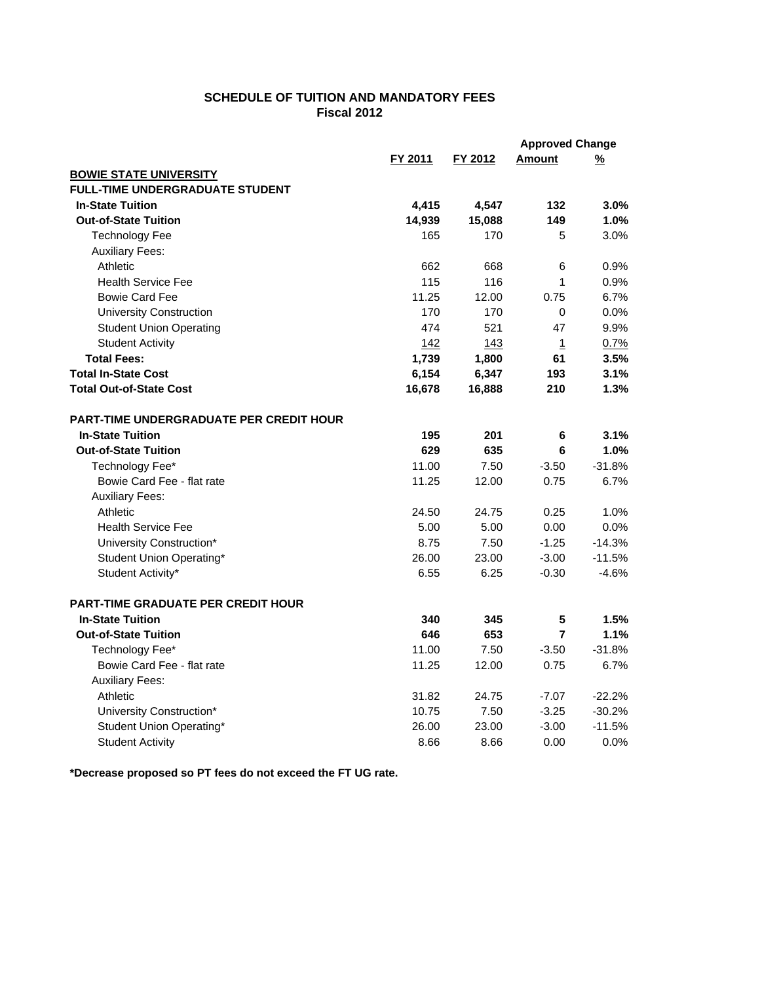## **SCHEDULE OF TUITION AND MANDATORY FEES Fiscal 2012**

|                                           |         |         | <b>Approved Change</b> |               |
|-------------------------------------------|---------|---------|------------------------|---------------|
|                                           | FY 2011 | FY 2012 | Amount                 | $\frac{9}{6}$ |
| <b>BOWIE STATE UNIVERSITY</b>             |         |         |                        |               |
| <b>FULL-TIME UNDERGRADUATE STUDENT</b>    |         |         |                        |               |
| <b>In-State Tuition</b>                   | 4,415   | 4,547   | 132                    | 3.0%          |
| <b>Out-of-State Tuition</b>               | 14,939  | 15,088  | 149                    | 1.0%          |
| <b>Technology Fee</b>                     | 165     | 170     | 5                      | 3.0%          |
| <b>Auxiliary Fees:</b>                    |         |         |                        |               |
| Athletic                                  | 662     | 668     | $\,6$                  | 0.9%          |
| <b>Health Service Fee</b>                 | 115     | 116     | 1                      | 0.9%          |
| <b>Bowie Card Fee</b>                     | 11.25   | 12.00   | 0.75                   | 6.7%          |
| <b>University Construction</b>            | 170     | 170     | $\Omega$               | 0.0%          |
| <b>Student Union Operating</b>            | 474     | 521     | 47                     | 9.9%          |
| <b>Student Activity</b>                   | 142     | 143     | $\mathbf{1}$           | 0.7%          |
| <b>Total Fees:</b>                        | 1,739   | 1,800   | 61                     | 3.5%          |
| <b>Total In-State Cost</b>                | 6,154   | 6,347   | 193                    | 3.1%          |
| <b>Total Out-of-State Cost</b>            | 16,678  | 16,888  | 210                    | 1.3%          |
| PART-TIME UNDERGRADUATE PER CREDIT HOUR   |         |         |                        |               |
| <b>In-State Tuition</b>                   | 195     | 201     | 6                      | 3.1%          |
| <b>Out-of-State Tuition</b>               | 629     | 635     | 6                      | 1.0%          |
| Technology Fee*                           | 11.00   | 7.50    | $-3.50$                | $-31.8%$      |
| Bowie Card Fee - flat rate                | 11.25   | 12.00   | 0.75                   | 6.7%          |
| <b>Auxiliary Fees:</b>                    |         |         |                        |               |
| Athletic                                  | 24.50   | 24.75   | 0.25                   | 1.0%          |
| <b>Health Service Fee</b>                 | 5.00    | 5.00    | 0.00                   | 0.0%          |
| University Construction*                  | 8.75    | 7.50    | $-1.25$                | $-14.3%$      |
| Student Union Operating*                  | 26.00   | 23.00   | $-3.00$                | $-11.5%$      |
| Student Activity*                         | 6.55    | 6.25    | $-0.30$                | $-4.6%$       |
| <b>PART-TIME GRADUATE PER CREDIT HOUR</b> |         |         |                        |               |
| <b>In-State Tuition</b>                   | 340     | 345     | $5\phantom{.0}$        | 1.5%          |
| <b>Out-of-State Tuition</b>               | 646     | 653     | $\overline{7}$         | 1.1%          |
| Technology Fee*                           | 11.00   | 7.50    | $-3.50$                | $-31.8%$      |
| Bowie Card Fee - flat rate                | 11.25   | 12.00   | 0.75                   | 6.7%          |
| <b>Auxiliary Fees:</b>                    |         |         |                        |               |
| Athletic                                  | 31.82   | 24.75   | $-7.07$                | $-22.2%$      |
| University Construction*                  | 10.75   | 7.50    | $-3.25$                | $-30.2%$      |
| Student Union Operating*                  | 26.00   | 23.00   | $-3.00$                | $-11.5%$      |
| <b>Student Activity</b>                   | 8.66    | 8.66    | 0.00                   | 0.0%          |

**\*Decrease proposed so PT fees do not exceed the FT UG rate.**